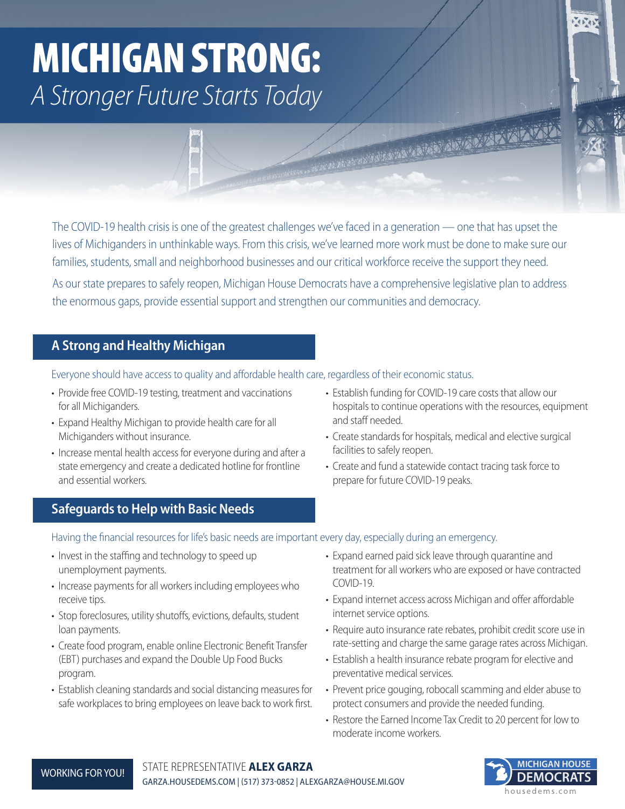# MICHIGAN STRONG: *A Stronger Future Starts Today*

The COVID-19 health crisis is one of the greatest challenges we've faced in a generation — one that has upset the lives of Michiganders in unthinkable ways. From this crisis, we've learned more work must be done to make sure our families, students, small and neighborhood businesses and our critical workforce receive the support they need.

As our state prepares to safely reopen, Michigan House Democrats have a comprehensive legislative plan to address the enormous gaps, provide essential support and strengthen our communities and democracy.

## **A Strong and Healthy Michigan**

Everyone should have access to quality and affordable health care, regardless of their economic status.

- Provide free COVID-19 testing, treatment and vaccinations for all Michiganders.
- Expand Healthy Michigan to provide health care for all Michiganders without insurance.
- Increase mental health access for everyone during and after a state emergency and create a dedicated hotline for frontline and essential workers.
- Establish funding for COVID-19 care costs that allow our hospitals to continue operations with the resources, equipment and staff needed.
- Create standards for hospitals, medical and elective surgical facilities to safely reopen.

• Create and fund a statewide contact tracing task force to prepare for future COVID-19 peaks.

## **Safeguards to Help with Basic Needs**

Having the financial resources for life's basic needs are important every day, especially during an emergency.

- Invest in the staffing and technology to speed up unemployment payments.
- Increase payments for all workers including employees who receive tips.
- Stop foreclosures, utility shutoffs, evictions, defaults, student loan payments.
- Create food program, enable online Electronic Benefit Transfer (EBT) purchases and expand the Double Up Food Bucks program.
- Establish cleaning standards and social distancing measures for safe workplaces to bring employees on leave back to work first.
- Expand earned paid sick leave through quarantine and treatment for all workers who are exposed or have contracted COVID-19.
- Expand internet access across Michigan and offer affordable internet service options.
- Require auto insurance rate rebates, prohibit credit score use in rate-setting and charge the same garage rates across Michigan.
- Establish a health insurance rebate program for elective and preventative medical services.
- Prevent price gouging, robocall scamming and elder abuse to protect consumers and provide the needed funding.
- Restore the Earned Income Tax Credit to 20 percent for low to moderate income workers.